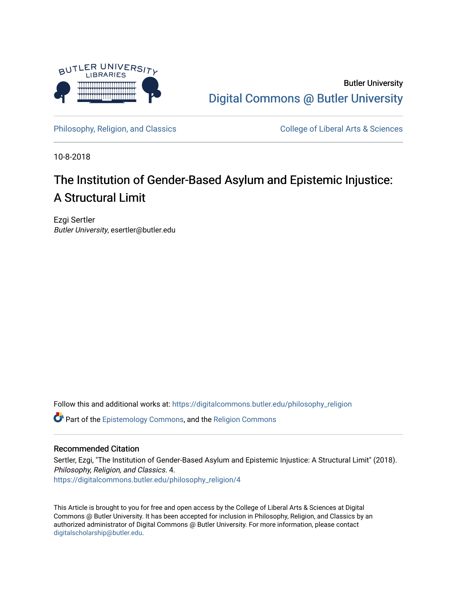

Butler University [Digital Commons @ Butler University](https://digitalcommons.butler.edu/) 

[Philosophy, Religion, and Classics](https://digitalcommons.butler.edu/philosophy_religion) College of Liberal Arts & Sciences

10-8-2018

# The Institution of Gender-Based Asylum and Epistemic Injustice: A Structural Limit

Ezgi Sertler Butler University, esertler@butler.edu

Follow this and additional works at: [https://digitalcommons.butler.edu/philosophy\\_religion](https://digitalcommons.butler.edu/philosophy_religion?utm_source=digitalcommons.butler.edu%2Fphilosophy_religion%2F4&utm_medium=PDF&utm_campaign=PDFCoverPages) 

Part of the [Epistemology Commons](http://network.bepress.com/hgg/discipline/527?utm_source=digitalcommons.butler.edu%2Fphilosophy_religion%2F4&utm_medium=PDF&utm_campaign=PDFCoverPages), and the [Religion Commons](http://network.bepress.com/hgg/discipline/538?utm_source=digitalcommons.butler.edu%2Fphilosophy_religion%2F4&utm_medium=PDF&utm_campaign=PDFCoverPages)

### Recommended Citation

Sertler, Ezgi, "The Institution of Gender-Based Asylum and Epistemic Injustice: A Structural Limit" (2018). Philosophy, Religion, and Classics. 4. [https://digitalcommons.butler.edu/philosophy\\_religion/4](https://digitalcommons.butler.edu/philosophy_religion/4?utm_source=digitalcommons.butler.edu%2Fphilosophy_religion%2F4&utm_medium=PDF&utm_campaign=PDFCoverPages) 

This Article is brought to you for free and open access by the College of Liberal Arts & Sciences at Digital Commons @ Butler University. It has been accepted for inclusion in Philosophy, Religion, and Classics by an authorized administrator of Digital Commons @ Butler University. For more information, please contact [digitalscholarship@butler.edu.](mailto:digitalscholarship@butler.edu)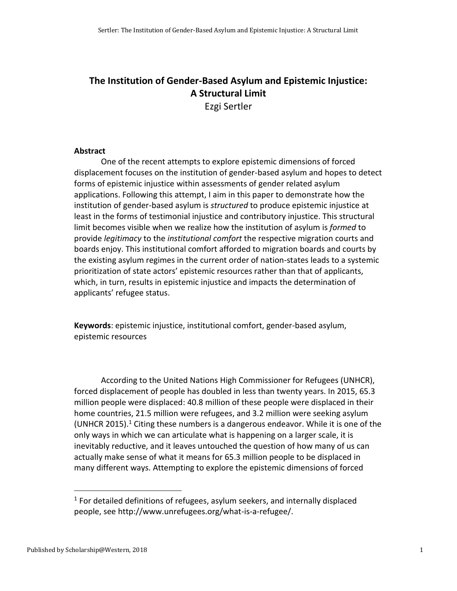## **The Institution of Gender-Based Asylum and Epistemic Injustice: A Structural Limit**

Ezgi Sertler

### **Abstract**

One of the recent attempts to explore epistemic dimensions of forced displacement focuses on the institution of gender-based asylum and hopes to detect forms of epistemic injustice within assessments of gender related asylum applications. Following this attempt, I aim in this paper to demonstrate how the institution of gender-based asylum is *structured* to produce epistemic injustice at least in the forms of testimonial injustice and contributory injustice. This structural limit becomes visible when we realize how the institution of asylum is *formed* to provide *legitimacy* to the *institutional comfort* the respective migration courts and boards enjoy. This institutional comfort afforded to migration boards and courts by the existing asylum regimes in the current order of nation-states leads to a systemic prioritization of state actors' epistemic resources rather than that of applicants, which, in turn, results in epistemic injustice and impacts the determination of applicants' refugee status.

**Keywords**: epistemic injustice, institutional comfort, gender-based asylum, epistemic resources

According to the United Nations High Commissioner for Refugees (UNHCR), forced displacement of people has doubled in less than twenty years. In 2015, 65.3 million people were displaced: 40.8 million of these people were displaced in their home countries, 21.5 million were refugees, and 3.2 million were seeking asylum (UNHCR 2015).<sup>1</sup> Citing these numbers is a dangerous endeavor. While it is one of the only ways in which we can articulate what is happening on a larger scale, it is inevitably reductive, and it leaves untouched the question of how many of us can actually make sense of what it means for 65.3 million people to be displaced in many different ways. Attempting to explore the epistemic dimensions of forced

 $1$  For detailed definitions of refugees, asylum seekers, and internally displaced people, see [http://www.unrefugees.org/what-is-a-refugee/.](http://www.unrefugees.org/what-is-a-refugee/)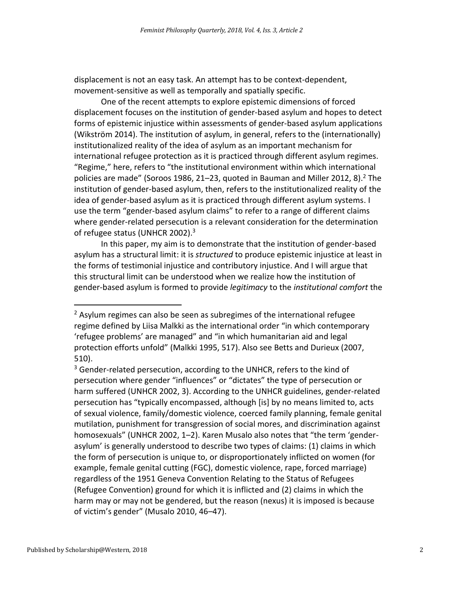displacement is not an easy task. An attempt has to be context-dependent, movement-sensitive as well as temporally and spatially specific.

One of the recent attempts to explore epistemic dimensions of forced displacement focuses on the institution of gender-based asylum and hopes to detect forms of epistemic injustice within assessments of gender-based asylum applications (Wikström 2014). The institution of asylum, in general, refers to the (internationally) institutionalized reality of the idea of asylum as an important mechanism for international refugee protection as it is practiced through different asylum regimes. "Regime," here, refers to "the institutional environment within which international policies are made" (Soroos 1986, 21–23, quoted in Bauman and Miller 2012, 8). <sup>2</sup> The institution of gender-based asylum, then, refers to the institutionalized reality of the idea of gender-based asylum as it is practiced through different asylum systems. I use the term "gender-based asylum claims" to refer to a range of different claims where gender-related persecution is a relevant consideration for the determination of refugee status (UNHCR 2002).<sup>3</sup>

In this paper, my aim is to demonstrate that the institution of gender-based asylum has a structural limit: it is *structured* to produce epistemic injustice at least in the forms of testimonial injustice and contributory injustice. And I will argue that this structural limit can be understood when we realize how the institution of gender-based asylum is formed to provide *legitimacy* to the *institutional comfort* the

 $<sup>2</sup>$  Asylum regimes can also be seen as subregimes of the international refugee</sup> regime defined by Liisa Malkki as the international order "in which contemporary 'refugee problems' are managed" and "in which humanitarian aid and legal protection efforts unfold" (Malkki 1995, 517). Also see Betts and Durieux (2007, 510).

 $3$  Gender-related persecution, according to the UNHCR, refers to the kind of persecution where gender "influences" or "dictates" the type of persecution or harm suffered (UNHCR 2002, 3). According to the UNHCR guidelines, gender-related persecution has "typically encompassed, although [is] by no means limited to, acts of sexual violence, family/domestic violence, coerced family planning, female genital mutilation, punishment for transgression of social mores, and discrimination against homosexuals" (UNHCR 2002, 1–2). Karen Musalo also notes that "the term 'genderasylum' is generally understood to describe two types of claims: (1) claims in which the form of persecution is unique to, or disproportionately inflicted on women (for example, female genital cutting (FGC), domestic violence, rape, forced marriage) regardless of the 1951 Geneva Convention Relating to the Status of Refugees (Refugee Convention) ground for which it is inflicted and (2) claims in which the harm may or may not be gendered, but the reason (nexus) it is imposed is because of victim's gender" (Musalo 2010, 46–47).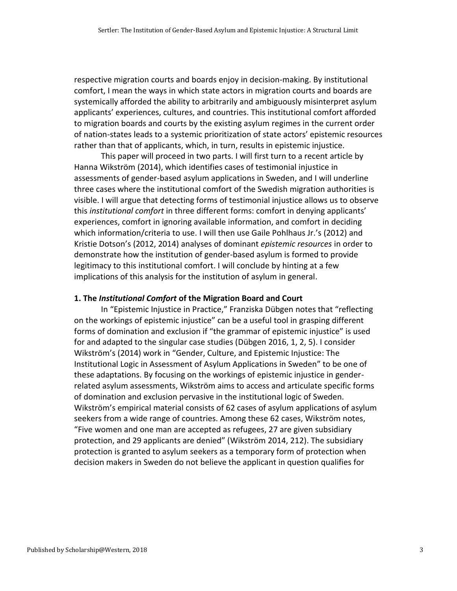respective migration courts and boards enjoy in decision-making. By institutional comfort, I mean the ways in which state actors in migration courts and boards are systemically afforded the ability to arbitrarily and ambiguously misinterpret asylum applicants' experiences, cultures, and countries. This institutional comfort afforded to migration boards and courts by the existing asylum regimes in the current order of nation-states leads to a systemic prioritization of state actors' epistemic resources rather than that of applicants, which, in turn, results in epistemic injustice.

This paper will proceed in two parts. I will first turn to a recent article by Hanna Wikström (2014), which identifies cases of testimonial injustice in assessments of gender-based asylum applications in Sweden, and I will underline three cases where the institutional comfort of the Swedish migration authorities is visible. I will argue that detecting forms of testimonial injustice allows us to observe this *institutional comfort* in three different forms: comfort in denying applicants' experiences, comfort in ignoring available information, and comfort in deciding which information/criteria to use. I will then use Gaile Pohlhaus Jr.'s (2012) and Kristie Dotson's (2012, 2014) analyses of dominant *epistemic resources* in order to demonstrate how the institution of gender-based asylum is formed to provide legitimacy to this institutional comfort. I will conclude by hinting at a few implications of this analysis for the institution of asylum in general.

#### **1. The** *Institutional Comfort* **of the Migration Board and Court**

In "Epistemic Injustice in Practice," Franziska Dübgen notes that "reflecting on the workings of epistemic injustice" can be a useful tool in grasping different forms of domination and exclusion if "the grammar of epistemic injustice" is used for and adapted to the singular case studies (Dübgen 2016, 1, 2, 5). I consider Wikström's (2014) work in "Gender, Culture, and Epistemic Injustice: The Institutional Logic in Assessment of Asylum Applications in Sweden" to be one of these adaptations. By focusing on the workings of epistemic injustice in genderrelated asylum assessments, Wikström aims to access and articulate specific forms of domination and exclusion pervasive in the institutional logic of Sweden. Wikström's empirical material consists of 62 cases of asylum applications of asylum seekers from a wide range of countries. Among these 62 cases, Wikström notes, "Five women and one man are accepted as refugees, 27 are given subsidiary protection, and 29 applicants are denied" (Wikström 2014, 212). The subsidiary protection is granted to asylum seekers as a temporary form of protection when decision makers in Sweden do not believe the applicant in question qualifies for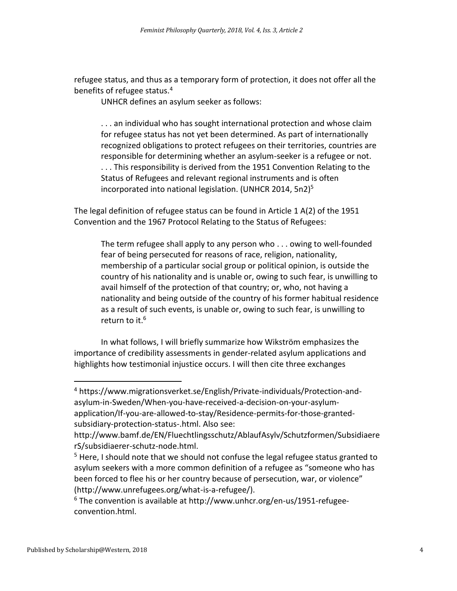refugee status, and thus as a temporary form of protection, it does not offer all the benefits of refugee status.<sup>4</sup>

UNHCR defines an asylum seeker as follows:

. . . an individual who has sought international protection and whose claim for refugee status has not yet been determined. As part of internationally recognized obligations to protect refugees on their territories, countries are responsible for determining whether an asylum-seeker is a refugee or not. . . . This responsibility is derived from the 1951 Convention Relating to the Status of Refugees and relevant regional instruments and is often incorporated into national legislation. (UNHCR 2014, 5n2) 5

The legal definition of refugee status can be found in Article 1 A(2) of the 1951 Convention and the 1967 Protocol Relating to the Status of Refugees:

The term refugee shall apply to any person who . . . owing to well-founded fear of being persecuted for reasons of race, religion, nationality, membership of a particular social group or political opinion, is outside the country of his nationality and is unable or, owing to such fear, is unwilling to avail himself of the protection of that country; or, who, not having a nationality and being outside of the country of his former habitual residence as a result of such events, is unable or, owing to such fear, is unwilling to return to it.<sup>6</sup>

In what follows, I will briefly summarize how Wikström emphasizes the importance of credibility assessments in gender-related asylum applications and highlights how testimonial injustice occurs. I will then cite three exchanges

<sup>4</sup> [https://www.migrationsverket.se/English/Private-individuals/Protection-and](https://www.migrationsverket.se/English/Private-individuals/Protection-and-asylum-in-Sweden/When-you-have-received-a-decision-on-your-asylum-application/If-you-are-allowed-to-stay/Residence-permits-for-those-granted-subsidiary-protection-status-.html)[asylum-in-Sweden/When-you-have-received-a-decision-on-your-asylum](https://www.migrationsverket.se/English/Private-individuals/Protection-and-asylum-in-Sweden/When-you-have-received-a-decision-on-your-asylum-application/If-you-are-allowed-to-stay/Residence-permits-for-those-granted-subsidiary-protection-status-.html)[application/If-you-are-allowed-to-stay/Residence-permits-for-those-granted](https://www.migrationsverket.se/English/Private-individuals/Protection-and-asylum-in-Sweden/When-you-have-received-a-decision-on-your-asylum-application/If-you-are-allowed-to-stay/Residence-permits-for-those-granted-subsidiary-protection-status-.html)[subsidiary-protection-status-.html.](https://www.migrationsverket.se/English/Private-individuals/Protection-and-asylum-in-Sweden/When-you-have-received-a-decision-on-your-asylum-application/If-you-are-allowed-to-stay/Residence-permits-for-those-granted-subsidiary-protection-status-.html) Also see:

[http://www.bamf.de/EN/Fluechtlingsschutz/AblaufAsylv/Schutzformen/Subsidiaere](http://www.bamf.de/EN/Fluechtlingsschutz/AblaufAsylv/Schutzformen/SubsidiaererS/subsidiaerer-schutz-node.html) [rS/subsidiaerer-schutz-node.html.](http://www.bamf.de/EN/Fluechtlingsschutz/AblaufAsylv/Schutzformen/SubsidiaererS/subsidiaerer-schutz-node.html)

<sup>&</sup>lt;sup>5</sup> Here, I should note that we should not confuse the legal refugee status granted to asylum seekers with a more common definition of a refugee as "someone who has been forced to flee his or her country because of persecution, war, or violence" [\(http://www.unrefugees.org/what-is-a-refugee/\)](http://www.unrefugees.org/what-is-a-refugee/).

 $6$  The convention is available at [http://www.unhcr.org/en-us/1951-refugee](http://www.unhcr.org/en-us/1951-refugee-convention.html)[convention.html.](http://www.unhcr.org/en-us/1951-refugee-convention.html)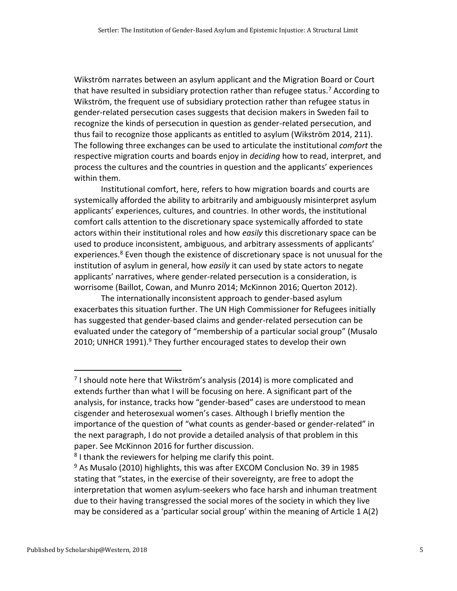Wikström narrates between an asylum applicant and the Migration Board or Court that have resulted in subsidiary protection rather than refugee status.<sup>7</sup> According to Wikström, the frequent use of subsidiary protection rather than refugee status in gender-related persecution cases suggests that decision makers in Sweden fail to recognize the kinds of persecution in question as gender-related persecution, and thus fail to recognize those applicants as entitled to asylum (Wikström 2014, 211). The following three exchanges can be used to articulate the institutional *comfort* the respective migration courts and boards enjoy in *deciding* how to read, interpret, and process the cultures and the countries in question and the applicants' experiences within them.

Institutional comfort, here, refers to how migration boards and courts are systemically afforded the ability to arbitrarily and ambiguously misinterpret asylum applicants' experiences, cultures, and countries. In other words, the institutional comfort calls attention to the discretionary space systemically afforded to state actors within their institutional roles and how *easily* this discretionary space can be used to produce inconsistent, ambiguous, and arbitrary assessments of applicants' experiences.<sup>8</sup> Even though the existence of discretionary space is not unusual for the institution of asylum in general, how *easily* it can used by state actors to negate applicants' narratives, where gender-related persecution is a consideration, is worrisome (Baillot, Cowan, and Munro 2014; McKinnon 2016; Querton 2012).

The internationally inconsistent approach to gender-based asylum exacerbates this situation further. The UN High Commissioner for Refugees initially has suggested that gender-based claims and gender-related persecution can be evaluated under the category of "membership of a particular social group" (Musalo 2010; UNHCR 1991). $9$  They further encouraged states to develop their own

 $<sup>7</sup>$  I should note here that Wikström's analysis (2014) is more complicated and</sup> extends further than what I will be focusing on here. A significant part of the analysis, for instance, tracks how "gender-based" cases are understood to mean cisgender and heterosexual women's cases. Although I briefly mention the importance of the question of "what counts as gender-based or gender-related" in the next paragraph, I do not provide a detailed analysis of that problem in this paper. See McKinnon 2016 for further discussion.

<sup>&</sup>lt;sup>8</sup> I thank the reviewers for helping me clarify this point.

<sup>&</sup>lt;sup>9</sup> As Musalo (2010) highlights, this was after EXCOM Conclusion No. 39 in 1985 stating that "states, in the exercise of their sovereignty, are free to adopt the interpretation that women asylum-seekers who face harsh and inhuman treatment due to their having transgressed the social mores of the society in which they live may be considered as a 'particular social group' within the meaning of Article 1 A(2)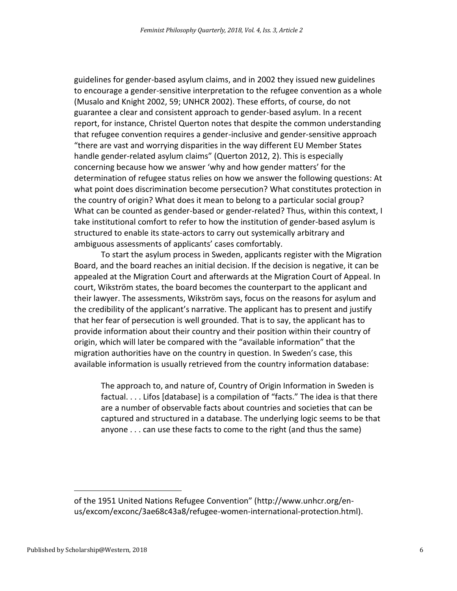guidelines for gender-based asylum claims, and in 2002 they issued new guidelines to encourage a gender-sensitive interpretation to the refugee convention as a whole (Musalo and Knight 2002, 59; UNHCR 2002). These efforts, of course, do not guarantee a clear and consistent approach to gender-based asylum. In a recent report, for instance, Christel Querton notes that despite the common understanding that refugee convention requires a gender-inclusive and gender-sensitive approach "there are vast and worrying disparities in the way different EU Member States handle gender-related asylum claims" (Querton 2012, 2). This is especially concerning because how we answer 'why and how gender matters' for the determination of refugee status relies on how we answer the following questions: At what point does discrimination become persecution? What constitutes protection in the country of origin? What does it mean to belong to a particular social group? What can be counted as gender-based or gender-related? Thus, within this context, I take institutional comfort to refer to how the institution of gender-based asylum is structured to enable its state-actors to carry out systemically arbitrary and ambiguous assessments of applicants' cases comfortably.

To start the asylum process in Sweden, applicants register with the Migration Board, and the board reaches an initial decision. If the decision is negative, it can be appealed at the Migration Court and afterwards at the Migration Court of Appeal. In court, Wikström states, the board becomes the counterpart to the applicant and their lawyer. The assessments, Wikström says, focus on the reasons for asylum and the credibility of the applicant's narrative. The applicant has to present and justify that her fear of persecution is well grounded. That is to say, the applicant has to provide information about their country and their position within their country of origin, which will later be compared with the "available information" that the migration authorities have on the country in question. In Sweden's case, this available information is usually retrieved from the country information database:

The approach to, and nature of, Country of Origin Information in Sweden is factual. . . . Lifos [database] is a compilation of "facts." The idea is that there are a number of observable facts about countries and societies that can be captured and structured in a database. The underlying logic seems to be that anyone . . . can use these facts to come to the right (and thus the same)

of the 1951 United Nations Refugee Convention" ([http://www.unhcr.org/en](http://www.unhcr.org/en-us/excom/exconc/3ae68c43a8/refugee-women-international-protection.html)[us/excom/exconc/3ae68c43a8/refugee-women-international-protection.html\)](http://www.unhcr.org/en-us/excom/exconc/3ae68c43a8/refugee-women-international-protection.html).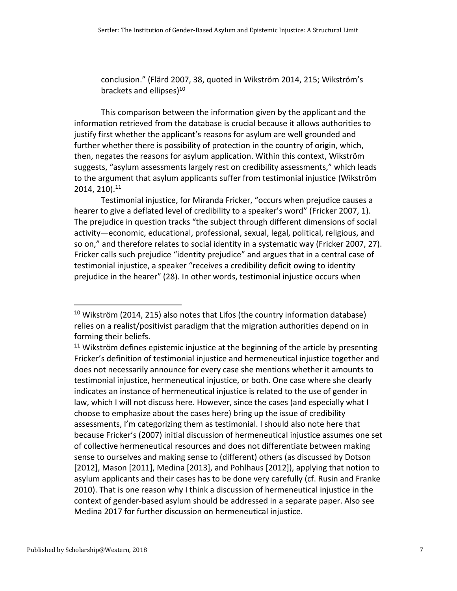conclusion." (Flärd 2007, 38, quoted in Wikström 2014, 215; Wikström's brackets and ellipses)<sup>10</sup>

This comparison between the information given by the applicant and the information retrieved from the database is crucial because it allows authorities to justify first whether the applicant's reasons for asylum are well grounded and further whether there is possibility of protection in the country of origin, which, then, negates the reasons for asylum application. Within this context, Wikström suggests, "asylum assessments largely rest on credibility assessments," which leads to the argument that asylum applicants suffer from testimonial injustice (Wikström 2014, 210). 11

Testimonial injustice, for Miranda Fricker, "occurs when prejudice causes a hearer to give a deflated level of credibility to a speaker's word" (Fricker 2007, 1). The prejudice in question tracks "the subject through different dimensions of social activity—economic, educational, professional, sexual, legal, political, religious, and so on," and therefore relates to social identity in a systematic way (Fricker 2007, 27). Fricker calls such prejudice "identity prejudice" and argues that in a central case of testimonial injustice, a speaker "receives a credibility deficit owing to identity prejudice in the hearer" (28). In other words, testimonial injustice occurs when

<sup>&</sup>lt;sup>10</sup> Wikström (2014, 215) also notes that Lifos (the country information database) relies on a realist/positivist paradigm that the migration authorities depend on in forming their beliefs.

 $11$  Wikström defines epistemic injustice at the beginning of the article by presenting Fricker's definition of testimonial injustice and hermeneutical injustice together and does not necessarily announce for every case she mentions whether it amounts to testimonial injustice, hermeneutical injustice, or both. One case where she clearly indicates an instance of hermeneutical injustice is related to the use of gender in law, which I will not discuss here. However, since the cases (and especially what I choose to emphasize about the cases here) bring up the issue of credibility assessments, I'm categorizing them as testimonial. I should also note here that because Fricker's (2007) initial discussion of hermeneutical injustice assumes one set of collective hermeneutical resources and does not differentiate between making sense to ourselves and making sense to (different) others (as discussed by Dotson [2012], Mason [2011], Medina [2013], and Pohlhaus [2012]), applying that notion to asylum applicants and their cases has to be done very carefully (cf. Rusin and Franke 2010). That is one reason why I think a discussion of hermeneutical injustice in the context of gender-based asylum should be addressed in a separate paper. Also see Medina 2017 for further discussion on hermeneutical injustice.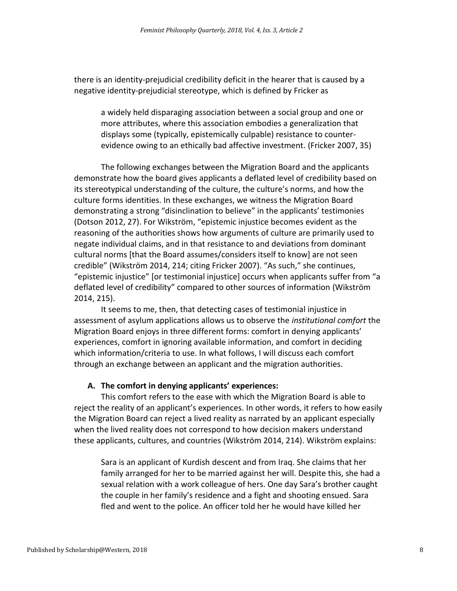there is an identity-prejudicial credibility deficit in the hearer that is caused by a negative identity-prejudicial stereotype, which is defined by Fricker as

a widely held disparaging association between a social group and one or more attributes, where this association embodies a generalization that displays some (typically, epistemically culpable) resistance to counterevidence owing to an ethically bad affective investment. (Fricker 2007, 35)

The following exchanges between the Migration Board and the applicants demonstrate how the board gives applicants a deflated level of credibility based on its stereotypical understanding of the culture, the culture's norms, and how the culture forms identities. In these exchanges, we witness the Migration Board demonstrating a strong "disinclination to believe" in the applicants' testimonies (Dotson 2012, 27). For Wikström, "epistemic injustice becomes evident as the reasoning of the authorities shows how arguments of culture are primarily used to negate individual claims, and in that resistance to and deviations from dominant cultural norms [that the Board assumes/considers itself to know] are not seen credible" (Wikström 2014, 214; citing Fricker 2007). "As such," she continues, "epistemic injustice" [or testimonial injustice] occurs when applicants suffer from "a deflated level of credibility" compared to other sources of information (Wikström 2014, 215).

It seems to me, then, that detecting cases of testimonial injustice in assessment of asylum applications allows us to observe the *institutional comfort* the Migration Board enjoys in three different forms: comfort in denying applicants' experiences, comfort in ignoring available information, and comfort in deciding which information/criteria to use. In what follows, I will discuss each comfort through an exchange between an applicant and the migration authorities.

### **A. The comfort in denying applicants' experiences:**

This comfort refers to the ease with which the Migration Board is able to reject the reality of an applicant's experiences. In other words, it refers to how easily the Migration Board can reject a lived reality as narrated by an applicant especially when the lived reality does not correspond to how decision makers understand these applicants, cultures, and countries (Wikström 2014, 214). Wikström explains:

Sara is an applicant of Kurdish descent and from Iraq. She claims that her family arranged for her to be married against her will. Despite this, she had a sexual relation with a work colleague of hers. One day Sara's brother caught the couple in her family's residence and a fight and shooting ensued. Sara fled and went to the police. An officer told her he would have killed her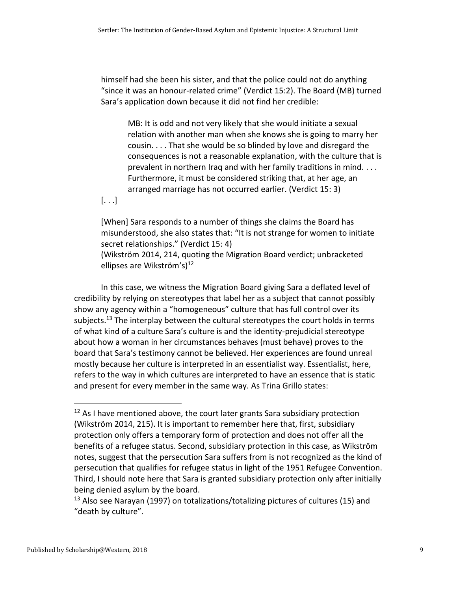himself had she been his sister, and that the police could not do anything "since it was an honour-related crime" (Verdict 15:2). The Board (MB) turned Sara's application down because it did not find her credible:

MB: It is odd and not very likely that she would initiate a sexual relation with another man when she knows she is going to marry her cousin. . . . That she would be so blinded by love and disregard the consequences is not a reasonable explanation, with the culture that is prevalent in northern Iraq and with her family traditions in mind. . . . Furthermore, it must be considered striking that, at her age, an arranged marriage has not occurred earlier. (Verdict 15: 3)

[. . .]

[When] Sara responds to a number of things she claims the Board has misunderstood, she also states that: "It is not strange for women to initiate secret relationships." (Verdict 15: 4) (Wikström 2014, 214, quoting the Migration Board verdict; unbracketed

ellipses are Wikström's) 12

In this case, we witness the Migration Board giving Sara a deflated level of credibility by relying on stereotypes that label her as a subject that cannot possibly show any agency within a "homogeneous" culture that has full control over its subjects.<sup>13</sup> The interplay between the cultural stereotypes the court holds in terms of what kind of a culture Sara's culture is and the identity-prejudicial stereotype about how a woman in her circumstances behaves (must behave) proves to the board that Sara's testimony cannot be believed. Her experiences are found unreal mostly because her culture is interpreted in an essentialist way. Essentialist, here, refers to the way in which cultures are interpreted to have an essence that is static and present for every member in the same way. As Trina Grillo states:

<sup>&</sup>lt;sup>12</sup> As I have mentioned above, the court later grants Sara subsidiary protection (Wikström 2014, 215). It is important to remember here that, first, subsidiary protection only offers a temporary form of protection and does not offer all the benefits of a refugee status. Second, subsidiary protection in this case, as Wikström notes, suggest that the persecution Sara suffers from is not recognized as the kind of persecution that qualifies for refugee status in light of the 1951 Refugee Convention. Third, I should note here that Sara is granted subsidiary protection only after initially being denied asylum by the board.

<sup>&</sup>lt;sup>13</sup> Also see Narayan (1997) on totalizations/totalizing pictures of cultures (15) and "death by culture".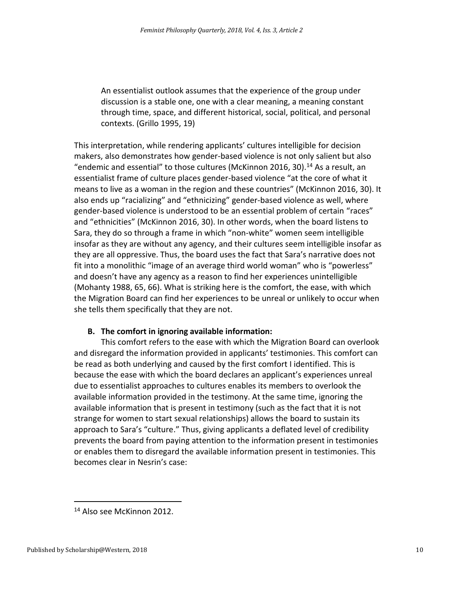An essentialist outlook assumes that the experience of the group under discussion is a stable one, one with a clear meaning, a meaning constant through time, space, and different historical, social, political, and personal contexts. (Grillo 1995, 19)

This interpretation, while rendering applicants' cultures intelligible for decision makers, also demonstrates how gender-based violence is not only salient but also "endemic and essential" to those cultures (McKinnon 2016, 30).<sup>14</sup> As a result, an essentialist frame of culture places gender-based violence "at the core of what it means to live as a woman in the region and these countries" (McKinnon 2016, 30). It also ends up "racializing" and "ethnicizing" gender-based violence as well, where gender-based violence is understood to be an essential problem of certain "races" and "ethnicities" (McKinnon 2016, 30). In other words, when the board listens to Sara, they do so through a frame in which "non-white" women seem intelligible insofar as they are without any agency, and their cultures seem intelligible insofar as they are all oppressive. Thus, the board uses the fact that Sara's narrative does not fit into a monolithic "image of an average third world woman" who is "powerless" and doesn't have any agency as a reason to find her experiences unintelligible (Mohanty 1988, 65, 66). What is striking here is the comfort, the ease, with which the Migration Board can find her experiences to be unreal or unlikely to occur when she tells them specifically that they are not.

### **B. The comfort in ignoring available information:**

This comfort refers to the ease with which the Migration Board can overlook and disregard the information provided in applicants' testimonies. This comfort can be read as both underlying and caused by the first comfort I identified. This is because the ease with which the board declares an applicant's experiences unreal due to essentialist approaches to cultures enables its members to overlook the available information provided in the testimony. At the same time, ignoring the available information that is present in testimony (such as the fact that it is not strange for women to start sexual relationships) allows the board to sustain its approach to Sara's "culture." Thus, giving applicants a deflated level of credibility prevents the board from paying attention to the information present in testimonies or enables them to disregard the available information present in testimonies. This becomes clear in Nesrin's case:

<sup>14</sup> Also see McKinnon 2012.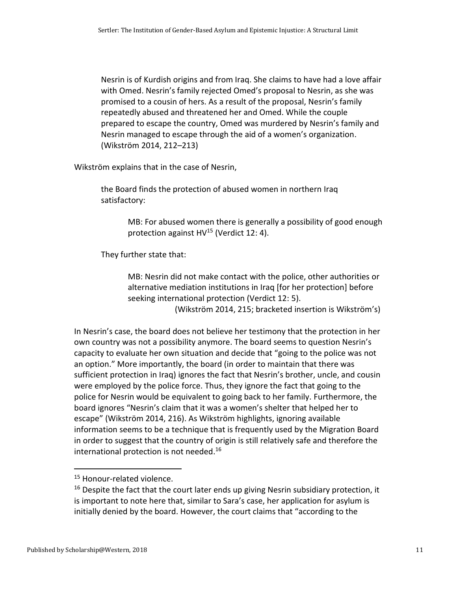Nesrin is of Kurdish origins and from Iraq. She claims to have had a love affair with Omed. Nesrin's family rejected Omed's proposal to Nesrin, as she was promised to a cousin of hers. As a result of the proposal, Nesrin's family repeatedly abused and threatened her and Omed. While the couple prepared to escape the country, Omed was murdered by Nesrin's family and Nesrin managed to escape through the aid of a women's organization. (Wikström 2014, 212–213)

Wikström explains that in the case of Nesrin,

the Board finds the protection of abused women in northern Iraq satisfactory:

> MB: For abused women there is generally a possibility of good enough protection against HV<sup>15</sup> (Verdict 12: 4).

They further state that:

MB: Nesrin did not make contact with the police, other authorities or alternative mediation institutions in Iraq [for her protection] before seeking international protection (Verdict 12: 5). (Wikström 2014, 215; bracketed insertion is Wikström's)

In Nesrin's case, the board does not believe her testimony that the protection in her own country was not a possibility anymore. The board seems to question Nesrin's capacity to evaluate her own situation and decide that "going to the police was not an option." More importantly, the board (in order to maintain that there was sufficient protection in Iraq) ignores the fact that Nesrin's brother, uncle, and cousin were employed by the police force. Thus, they ignore the fact that going to the police for Nesrin would be equivalent to going back to her family. Furthermore, the board ignores "Nesrin's claim that it was a women's shelter that helped her to escape" (Wikström 2014, 216). As Wikström highlights, ignoring available information seems to be a technique that is frequently used by the Migration Board in order to suggest that the country of origin is still relatively safe and therefore the international protection is not needed.<sup>16</sup>

<sup>&</sup>lt;sup>15</sup> Honour-related violence.

 $16$  Despite the fact that the court later ends up giving Nesrin subsidiary protection, it is important to note here that, similar to Sara's case, her application for asylum is initially denied by the board. However, the court claims that "according to the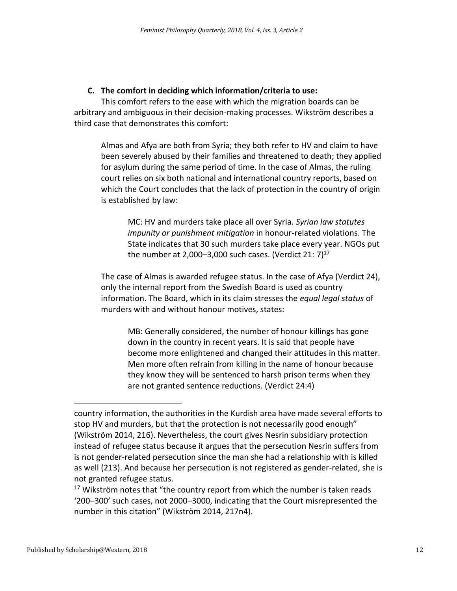## **C. The comfort in deciding which information/criteria to use:**

This comfort refers to the ease with which the migration boards can be arbitrary and ambiguous in their decision-making processes. Wikström describes a third case that demonstrates this comfort:

Almas and Afya are both from Syria; they both refer to HV and claim to have been severely abused by their families and threatened to death; they applied for asylum during the same period of time. In the case of Almas, the ruling court relies on six both national and international country reports, based on which the Court concludes that the lack of protection in the country of origin is established by law:

MC: HV and murders take place all over Syria. *Syrian law statutes impunity or punishment mitigation* in honour-related violations. The State indicates that 30 such murders take place every year. NGOs put the number at 2,000–3,000 such cases. (Verdict 21:  $7)^{17}$ 

The case of Almas is awarded refugee status. In the case of Afya (Verdict 24), only the internal report from the Swedish Board is used as country information. The Board, which in its claim stresses the *equal legal status* of murders with and without honour motives, states:

MB: Generally considered, the number of honour killings has gone down in the country in recent years. It is said that people have become more enlightened and changed their attitudes in this matter. Men more often refrain from killing in the name of honour because they know they will be sentenced to harsh prison terms when they are not granted sentence reductions. (Verdict 24:4)

country information, the authorities in the Kurdish area have made several efforts to stop HV and murders, but that the protection is not necessarily good enough" (Wikström 2014, 216). Nevertheless, the court gives Nesrin subsidiary protection instead of refugee status because it argues that the persecution Nesrin suffers from is not gender-related persecution since the man she had a relationship with is killed as well (213). And because her persecution is not registered as gender-related, she is not granted refugee status.

<sup>&</sup>lt;sup>17</sup> Wikström notes that "the country report from which the number is taken reads '200–300' such cases, not 2000–3000, indicating that the Court misrepresented the number in this citation" (Wikström 2014, 217n4).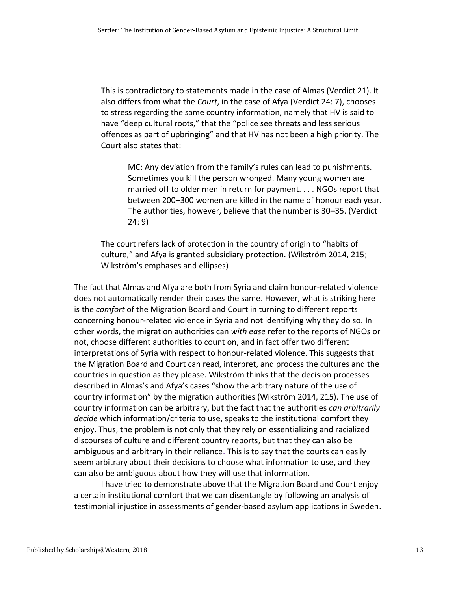This is contradictory to statements made in the case of Almas (Verdict 21). It also differs from what the *Court*, in the case of Afya (Verdict 24: 7), chooses to stress regarding the same country information, namely that HV is said to have "deep cultural roots," that the "police see threats and less serious offences as part of upbringing" and that HV has not been a high priority. The Court also states that:

MC: Any deviation from the family's rules can lead to punishments. Sometimes you kill the person wronged. Many young women are married off to older men in return for payment. . . . NGOs report that between 200–300 women are killed in the name of honour each year. The authorities, however, believe that the number is 30–35. (Verdict 24: 9)

The court refers lack of protection in the country of origin to "habits of culture," and Afya is granted subsidiary protection. (Wikström 2014, 215; Wikström's emphases and ellipses)

The fact that Almas and Afya are both from Syria and claim honour-related violence does not automatically render their cases the same. However, what is striking here is the *comfort* of the Migration Board and Court in turning to different reports concerning honour-related violence in Syria and not identifying why they do so. In other words, the migration authorities can *with ease* refer to the reports of NGOs or not, choose different authorities to count on, and in fact offer two different interpretations of Syria with respect to honour-related violence. This suggests that the Migration Board and Court can read, interpret, and process the cultures and the countries in question as they please. Wikström thinks that the decision processes described in Almas's and Afya's cases "show the arbitrary nature of the use of country information" by the migration authorities (Wikström 2014, 215). The use of country information can be arbitrary, but the fact that the authorities *can arbitrarily decide* which information/criteria to use, speaks to the institutional comfort they enjoy. Thus, the problem is not only that they rely on essentializing and racialized discourses of culture and different country reports, but that they can also be ambiguous and arbitrary in their reliance. This is to say that the courts can easily seem arbitrary about their decisions to choose what information to use, and they can also be ambiguous about how they will use that information.

I have tried to demonstrate above that the Migration Board and Court enjoy a certain institutional comfort that we can disentangle by following an analysis of testimonial injustice in assessments of gender-based asylum applications in Sweden.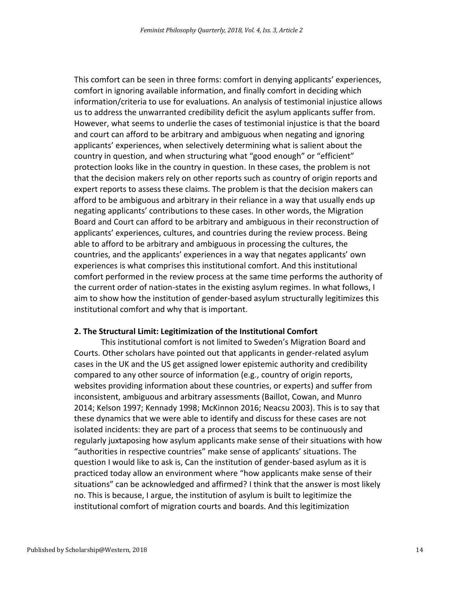This comfort can be seen in three forms: comfort in denying applicants' experiences, comfort in ignoring available information, and finally comfort in deciding which information/criteria to use for evaluations. An analysis of testimonial injustice allows us to address the unwarranted credibility deficit the asylum applicants suffer from. However, what seems to underlie the cases of testimonial injustice is that the board and court can afford to be arbitrary and ambiguous when negating and ignoring applicants' experiences, when selectively determining what is salient about the country in question, and when structuring what "good enough" or "efficient" protection looks like in the country in question. In these cases, the problem is not that the decision makers rely on other reports such as country of origin reports and expert reports to assess these claims. The problem is that the decision makers can afford to be ambiguous and arbitrary in their reliance in a way that usually ends up negating applicants' contributions to these cases. In other words, the Migration Board and Court can afford to be arbitrary and ambiguous in their reconstruction of applicants' experiences, cultures, and countries during the review process. Being able to afford to be arbitrary and ambiguous in processing the cultures, the countries, and the applicants' experiences in a way that negates applicants' own experiences is what comprises this institutional comfort. And this institutional comfort performed in the review process at the same time performs the authority of the current order of nation-states in the existing asylum regimes. In what follows, I aim to show how the institution of gender-based asylum structurally legitimizes this institutional comfort and why that is important.

#### **2. The Structural Limit: Legitimization of the Institutional Comfort**

This institutional comfort is not limited to Sweden's Migration Board and Courts. Other scholars have pointed out that applicants in gender-related asylum cases in the UK and the US get assigned lower epistemic authority and credibility compared to any other source of information (e.g., country of origin reports, websites providing information about these countries, or experts) and suffer from inconsistent, ambiguous and arbitrary assessments (Baillot, Cowan, and Munro 2014; Kelson 1997; Kennady 1998; McKinnon 2016; Neacsu 2003). This is to say that these dynamics that we were able to identify and discuss for these cases are not isolated incidents: they are part of a process that seems to be continuously and regularly juxtaposing how asylum applicants make sense of their situations with how "authorities in respective countries" make sense of applicants' situations. The question I would like to ask is, Can the institution of gender-based asylum as it is practiced today allow an environment where "how applicants make sense of their situations" can be acknowledged and affirmed? I think that the answer is most likely no. This is because, I argue, the institution of asylum is built to legitimize the institutional comfort of migration courts and boards. And this legitimization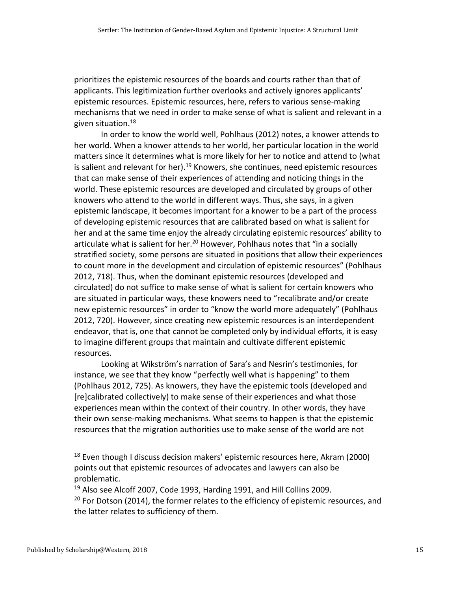prioritizes the epistemic resources of the boards and courts rather than that of applicants. This legitimization further overlooks and actively ignores applicants' epistemic resources. Epistemic resources, here, refers to various sense-making mechanisms that we need in order to make sense of what is salient and relevant in a given situation.<sup>18</sup>

In order to know the world well, Pohlhaus (2012) notes, a knower attends to her world. When a knower attends to her world, her particular location in the world matters since it determines what is more likely for her to notice and attend to (what is salient and relevant for her).<sup>19</sup> Knowers, she continues, need epistemic resources that can make sense of their experiences of attending and noticing things in the world. These epistemic resources are developed and circulated by groups of other knowers who attend to the world in different ways. Thus, she says, in a given epistemic landscape, it becomes important for a knower to be a part of the process of developing epistemic resources that are calibrated based on what is salient for her and at the same time enjoy the already circulating epistemic resources' ability to articulate what is salient for her.<sup>20</sup> However, Pohlhaus notes that "in a socially stratified society, some persons are situated in positions that allow their experiences to count more in the development and circulation of epistemic resources" (Pohlhaus 2012, 718). Thus, when the dominant epistemic resources (developed and circulated) do not suffice to make sense of what is salient for certain knowers who are situated in particular ways, these knowers need to "recalibrate and/or create new epistemic resources" in order to "know the world more adequately" (Pohlhaus 2012, 720). However, since creating new epistemic resources is an interdependent endeavor, that is, one that cannot be completed only by individual efforts, it is easy to imagine different groups that maintain and cultivate different epistemic resources.

Looking at Wikström's narration of Sara's and Nesrin's testimonies, for instance, we see that they know "perfectly well what is happening" to them (Pohlhaus 2012, 725). As knowers, they have the epistemic tools (developed and [re]calibrated collectively) to make sense of their experiences and what those experiences mean within the context of their country. In other words, they have their own sense-making mechanisms. What seems to happen is that the epistemic resources that the migration authorities use to make sense of the world are not

<sup>&</sup>lt;sup>18</sup> Even though I discuss decision makers' epistemic resources here, Akram (2000) points out that epistemic resources of advocates and lawyers can also be problematic.

<sup>&</sup>lt;sup>19</sup> Also see Alcoff 2007, Code 1993, Harding 1991, and Hill Collins 2009.

 $20$  For Dotson (2014), the former relates to the efficiency of epistemic resources, and the latter relates to sufficiency of them.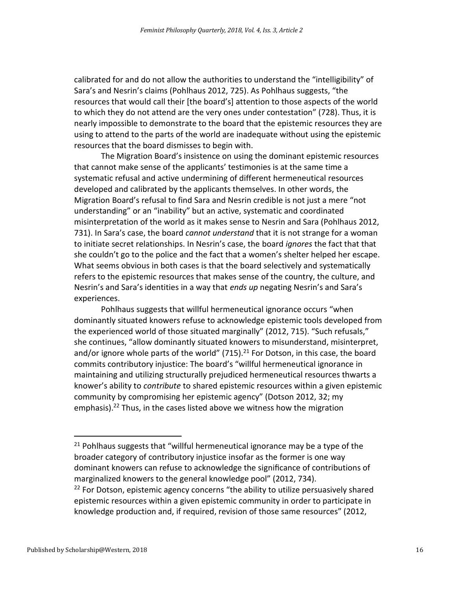calibrated for and do not allow the authorities to understand the "intelligibility" of Sara's and Nesrin's claims (Pohlhaus 2012, 725). As Pohlhaus suggests, "the resources that would call their [the board's] attention to those aspects of the world to which they do not attend are the very ones under contestation" (728). Thus, it is nearly impossible to demonstrate to the board that the epistemic resources they are using to attend to the parts of the world are inadequate without using the epistemic resources that the board dismisses to begin with.

The Migration Board's insistence on using the dominant epistemic resources that cannot make sense of the applicants' testimonies is at the same time a systematic refusal and active undermining of different hermeneutical resources developed and calibrated by the applicants themselves. In other words, the Migration Board's refusal to find Sara and Nesrin credible is not just a mere "not understanding" or an "inability" but an active, systematic and coordinated misinterpretation of the world as it makes sense to Nesrin and Sara (Pohlhaus 2012, 731). In Sara's case, the board *cannot understand* that it is not strange for a woman to initiate secret relationships. In Nesrin's case, the board *ignores* the fact that that she couldn't go to the police and the fact that a women's shelter helped her escape. What seems obvious in both cases is that the board selectively and systematically refers to the epistemic resources that makes sense of the country, the culture, and Nesrin's and Sara's identities in a way that *ends up* negating Nesrin's and Sara's experiences.

Pohlhaus suggests that willful hermeneutical ignorance occurs "when dominantly situated knowers refuse to acknowledge epistemic tools developed from the experienced world of those situated marginally" (2012, 715). "Such refusals," she continues, "allow dominantly situated knowers to misunderstand, misinterpret, and/or ignore whole parts of the world"  $(715).<sup>21</sup>$  For Dotson, in this case, the board commits contributory injustice: The board's "willful hermeneutical ignorance in maintaining and utilizing structurally prejudiced hermeneutical resources thwarts a knower's ability to *contribute* to shared epistemic resources within a given epistemic community by compromising her epistemic agency" (Dotson 2012, 32; my emphasis).<sup>22</sup> Thus, in the cases listed above we witness how the migration

<sup>&</sup>lt;sup>21</sup> Pohlhaus suggests that "willful hermeneutical ignorance may be a type of the broader category of contributory injustice insofar as the former is one way dominant knowers can refuse to acknowledge the significance of contributions of marginalized knowers to the general knowledge pool" (2012, 734).  $22$  For Dotson, epistemic agency concerns "the ability to utilize persuasively shared epistemic resources within a given epistemic community in order to participate in knowledge production and, if required, revision of those same resources" (2012,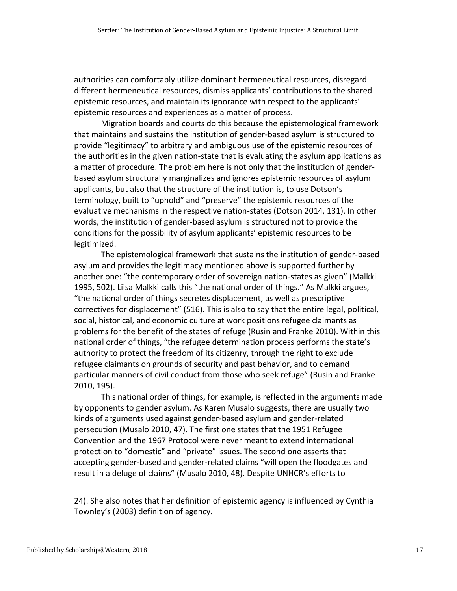authorities can comfortably utilize dominant hermeneutical resources, disregard different hermeneutical resources, dismiss applicants' contributions to the shared epistemic resources, and maintain its ignorance with respect to the applicants' epistemic resources and experiences as a matter of process.

Migration boards and courts do this because the epistemological framework that maintains and sustains the institution of gender-based asylum is structured to provide "legitimacy" to arbitrary and ambiguous use of the epistemic resources of the authorities in the given nation-state that is evaluating the asylum applications as a matter of procedure. The problem here is not only that the institution of genderbased asylum structurally marginalizes and ignores epistemic resources of asylum applicants, but also that the structure of the institution is, to use Dotson's terminology, built to "uphold" and "preserve" the epistemic resources of the evaluative mechanisms in the respective nation-states (Dotson 2014, 131). In other words, the institution of gender-based asylum is structured not to provide the conditions for the possibility of asylum applicants' epistemic resources to be legitimized.

The epistemological framework that sustains the institution of gender-based asylum and provides the legitimacy mentioned above is supported further by another one: "the contemporary order of sovereign nation-states as given" (Malkki 1995, 502). Liisa Malkki calls this "the national order of things." As Malkki argues, "the national order of things secretes displacement, as well as prescriptive correctives for displacement" (516). This is also to say that the entire legal, political, social, historical, and economic culture at work positions refugee claimants as problems for the benefit of the states of refuge (Rusin and Franke 2010). Within this national order of things, "the refugee determination process performs the state's authority to protect the freedom of its citizenry, through the right to exclude refugee claimants on grounds of security and past behavior, and to demand particular manners of civil conduct from those who seek refuge" (Rusin and Franke 2010, 195).

This national order of things, for example, is reflected in the arguments made by opponents to gender asylum. As Karen Musalo suggests, there are usually two kinds of arguments used against gender-based asylum and gender-related persecution (Musalo 2010, 47). The first one states that the 1951 Refugee Convention and the 1967 Protocol were never meant to extend international protection to "domestic" and "private" issues. The second one asserts that accepting gender-based and gender-related claims "will open the floodgates and result in a deluge of claims" (Musalo 2010, 48). Despite UNHCR's efforts to

<sup>24).</sup> She also notes that her definition of epistemic agency is influenced by Cynthia Townley's (2003) definition of agency.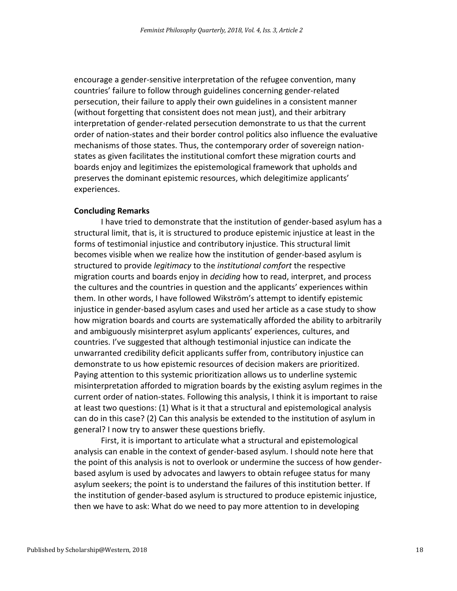encourage a gender-sensitive interpretation of the refugee convention, many countries' failure to follow through guidelines concerning gender-related persecution, their failure to apply their own guidelines in a consistent manner (without forgetting that consistent does not mean just), and their arbitrary interpretation of gender-related persecution demonstrate to us that the current order of nation-states and their border control politics also influence the evaluative mechanisms of those states. Thus, the contemporary order of sovereign nationstates as given facilitates the institutional comfort these migration courts and boards enjoy and legitimizes the epistemological framework that upholds and preserves the dominant epistemic resources, which delegitimize applicants' experiences.

#### **Concluding Remarks**

I have tried to demonstrate that the institution of gender-based asylum has a structural limit, that is, it is structured to produce epistemic injustice at least in the forms of testimonial injustice and contributory injustice. This structural limit becomes visible when we realize how the institution of gender-based asylum is structured to provide *legitimacy* to the *institutional comfort* the respective migration courts and boards enjoy in *deciding* how to read, interpret, and process the cultures and the countries in question and the applicants' experiences within them. In other words, I have followed Wikström's attempt to identify epistemic injustice in gender-based asylum cases and used her article as a case study to show how migration boards and courts are systematically afforded the ability to arbitrarily and ambiguously misinterpret asylum applicants' experiences, cultures, and countries. I've suggested that although testimonial injustice can indicate the unwarranted credibility deficit applicants suffer from, contributory injustice can demonstrate to us how epistemic resources of decision makers are prioritized. Paying attention to this systemic prioritization allows us to underline systemic misinterpretation afforded to migration boards by the existing asylum regimes in the current order of nation-states. Following this analysis, I think it is important to raise at least two questions: (1) What is it that a structural and epistemological analysis can do in this case? (2) Can this analysis be extended to the institution of asylum in general? I now try to answer these questions briefly.

First, it is important to articulate what a structural and epistemological analysis can enable in the context of gender-based asylum. I should note here that the point of this analysis is not to overlook or undermine the success of how genderbased asylum is used by advocates and lawyers to obtain refugee status for many asylum seekers; the point is to understand the failures of this institution better. If the institution of gender-based asylum is structured to produce epistemic injustice, then we have to ask: What do we need to pay more attention to in developing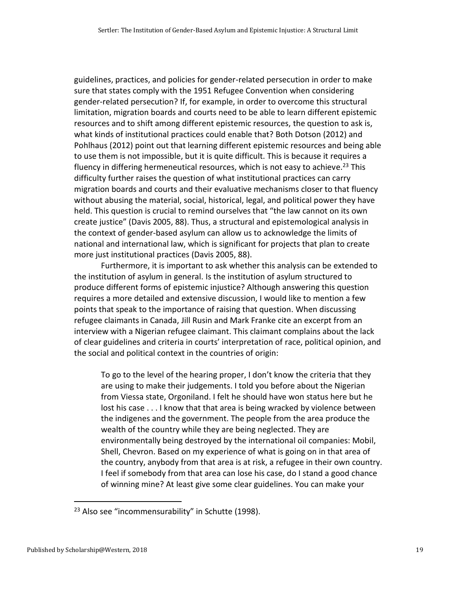guidelines, practices, and policies for gender-related persecution in order to make sure that states comply with the 1951 Refugee Convention when considering gender-related persecution? If, for example, in order to overcome this structural limitation, migration boards and courts need to be able to learn different epistemic resources and to shift among different epistemic resources, the question to ask is, what kinds of institutional practices could enable that? Both Dotson (2012) and Pohlhaus (2012) point out that learning different epistemic resources and being able to use them is not impossible, but it is quite difficult. This is because it requires a fluency in differing hermeneutical resources, which is not easy to achieve.<sup>23</sup> This difficulty further raises the question of what institutional practices can carry migration boards and courts and their evaluative mechanisms closer to that fluency without abusing the material, social, historical, legal, and political power they have held. This question is crucial to remind ourselves that "the law cannot on its own create justice" (Davis 2005, 88). Thus, a structural and epistemological analysis in the context of gender-based asylum can allow us to acknowledge the limits of national and international law, which is significant for projects that plan to create more just institutional practices (Davis 2005, 88).

Furthermore, it is important to ask whether this analysis can be extended to the institution of asylum in general. Is the institution of asylum structured to produce different forms of epistemic injustice? Although answering this question requires a more detailed and extensive discussion, I would like to mention a few points that speak to the importance of raising that question. When discussing refugee claimants in Canada, Jill Rusin and Mark Franke cite an excerpt from an interview with a Nigerian refugee claimant. This claimant complains about the lack of clear guidelines and criteria in courts' interpretation of race, political opinion, and the social and political context in the countries of origin:

To go to the level of the hearing proper, I don't know the criteria that they are using to make their judgements. I told you before about the Nigerian from Viessa state, Orgoniland. I felt he should have won status here but he lost his case . . . I know that that area is being wracked by violence between the indigenes and the government. The people from the area produce the wealth of the country while they are being neglected. They are environmentally being destroyed by the international oil companies: Mobil, Shell, Chevron. Based on my experience of what is going on in that area of the country, anybody from that area is at risk, a refugee in their own country. I feel if somebody from that area can lose his case, do I stand a good chance of winning mine? At least give some clear guidelines. You can make your

<sup>&</sup>lt;sup>23</sup> Also see "incommensurability" in Schutte (1998).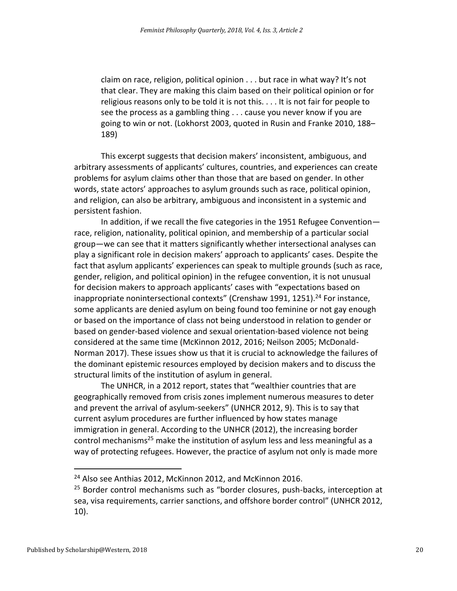claim on race, religion, political opinion . . . but race in what way? It's not that clear. They are making this claim based on their political opinion or for religious reasons only to be told it is not this. . . . It is not fair for people to see the process as a gambling thing . . . cause you never know if you are going to win or not. (Lokhorst 2003, quoted in Rusin and Franke 2010, 188– 189)

This excerpt suggests that decision makers' inconsistent, ambiguous, and arbitrary assessments of applicants' cultures, countries, and experiences can create problems for asylum claims other than those that are based on gender. In other words, state actors' approaches to asylum grounds such as race, political opinion, and religion, can also be arbitrary, ambiguous and inconsistent in a systemic and persistent fashion.

In addition, if we recall the five categories in the 1951 Refugee Convention race, religion, nationality, political opinion, and membership of a particular social group—we can see that it matters significantly whether intersectional analyses can play a significant role in decision makers' approach to applicants' cases. Despite the fact that asylum applicants' experiences can speak to multiple grounds (such as race, gender, religion, and political opinion) in the refugee convention, it is not unusual for decision makers to approach applicants' cases with "expectations based on inappropriate nonintersectional contexts" (Crenshaw 1991, 1251).<sup>24</sup> For instance, some applicants are denied asylum on being found too feminine or not gay enough or based on the importance of class not being understood in relation to gender or based on gender-based violence and sexual orientation-based violence not being considered at the same time (McKinnon 2012, 2016; Neilson 2005; McDonald-Norman 2017). These issues show us that it is crucial to acknowledge the failures of the dominant epistemic resources employed by decision makers and to discuss the structural limits of the institution of asylum in general.

The UNHCR, in a 2012 report, states that "wealthier countries that are geographically removed from crisis zones implement numerous measures to deter and prevent the arrival of asylum-seekers" (UNHCR 2012, 9). This is to say that current asylum procedures are further influenced by how states manage immigration in general. According to the UNHCR (2012), the increasing border control mechanisms<sup>25</sup> make the institution of asylum less and less meaningful as a way of protecting refugees. However, the practice of asylum not only is made more

<sup>&</sup>lt;sup>24</sup> Also see Anthias 2012, McKinnon 2012, and McKinnon 2016.

<sup>&</sup>lt;sup>25</sup> Border control mechanisms such as "border closures, push-backs, interception at sea, visa requirements, carrier sanctions, and offshore border control" (UNHCR 2012, 10).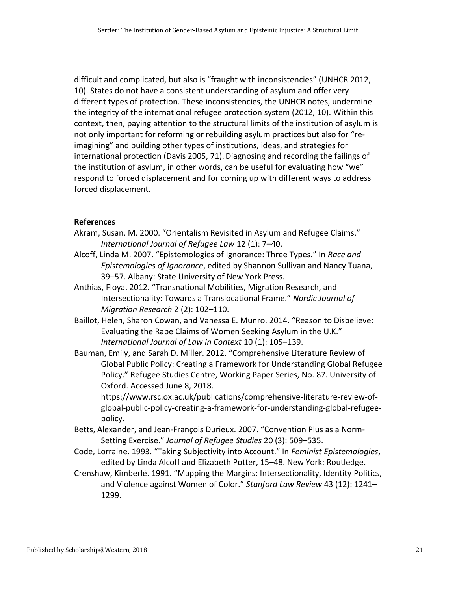difficult and complicated, but also is "fraught with inconsistencies" (UNHCR 2012, 10). States do not have a consistent understanding of asylum and offer very different types of protection. These inconsistencies, the UNHCR notes, undermine the integrity of the international refugee protection system (2012, 10). Within this context, then, paying attention to the structural limits of the institution of asylum is not only important for reforming or rebuilding asylum practices but also for "reimagining" and building other types of institutions, ideas, and strategies for international protection (Davis 2005, 71).Diagnosing and recording the failings of the institution of asylum, in other words, can be useful for evaluating how "we" respond to forced displacement and for coming up with different ways to address forced displacement.

## **References**

- Akram, Susan. M. 2000. "Orientalism Revisited in Asylum and Refugee Claims." *International Journal of Refugee Law* 12 (1): 7–40.
- Alcoff, Linda M. 2007. "Epistemologies of Ignorance: Three Types." In *Race and Epistemologies of Ignorance*, edited by Shannon Sullivan and Nancy Tuana, 39–57. Albany: State University of New York Press.
- Anthias, Floya. 2012. "Transnational Mobilities, Migration Research, and Intersectionality: Towards a Translocational Frame." *Nordic Journal of Migration Research* 2 (2): 102–110.
- Baillot, Helen, Sharon Cowan, and Vanessa E. Munro. 2014. "Reason to Disbelieve: Evaluating the Rape Claims of Women Seeking Asylum in the U.K." *International Journal of Law in Context* 10 (1): 105–139.
- Bauman, Emily, and Sarah D. Miller. 2012. "Comprehensive Literature Review of Global Public Policy: Creating a Framework for Understanding Global Refugee Policy." Refugee Studies Centre, Working Paper Series, No. 87. University of Oxford. Accessed June 8, 2018.

[https://www.rsc.ox.ac.uk/publications/comprehensive-literature-review-of](https://www.rsc.ox.ac.uk/publications/comprehensive-literature-review-of-global-public-policy-creating-a-framework-for-understanding-global-refugee-policy)[global-public-policy-creating-a-framework-for-understanding-global-refugee](https://www.rsc.ox.ac.uk/publications/comprehensive-literature-review-of-global-public-policy-creating-a-framework-for-understanding-global-refugee-policy)[policy.](https://www.rsc.ox.ac.uk/publications/comprehensive-literature-review-of-global-public-policy-creating-a-framework-for-understanding-global-refugee-policy)

- Betts, Alexander, and Jean-François Durieux. 2007. "Convention Plus as a Norm-Setting Exercise." *Journal of Refugee Studies* 20 (3): 509–535.
- Code, Lorraine. 1993. "Taking Subjectivity into Account." In *Feminist Epistemologies*, edited by Linda Alcoff and Elizabeth Potter, 15–48. New York: Routledge.
- Crenshaw, Kimberlé. 1991. "Mapping the Margins: Intersectionality, Identity Politics, and Violence against Women of Color." *Stanford Law Review* 43 (12): 1241– 1299.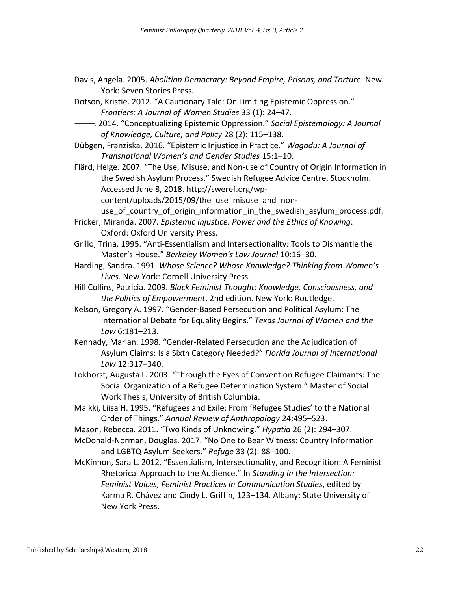- Davis, Angela. 2005. *Abolition Democracy: Beyond Empire, Prisons, and Torture*. New York: Seven Stories Press.
- Dotson, Kristie. 2012. "A Cautionary Tale: On Limiting Epistemic Oppression." *Frontiers: A Journal of Women Studies* 33 (1): 24–47.
- ———. 2014. "Conceptualizing Epistemic Oppression." *Social Epistemology: A Journal of Knowledge, Culture, and Policy* 28 (2): 115–138.
- Dübgen, Franziska. 2016. "Epistemic Injustice in Practice." *Wagadu: A Journal of Transnational Women's and Gender Studies* 15:1–10.
- Flärd, Helge. 2007. "The Use, Misuse, and Non-use of Country of Origin Information in the Swedish Asylum Process." Swedish Refugee Advice Centre, Stockholm. Accessed June 8, 2018. [http://sweref.org/wp-](http://sweref.org/wp-content/uploads/2015/09/the_use_misuse_and_non-use_of_country_of_origin_information_in_the_swedish_asylum_process.pdf)

content/uploads/2015/09/the use misuse and non-

- use of country of origin information in the swedish asylum process.pdf.
- Fricker, Miranda. 2007. *Epistemic Injustice: Power and the Ethics of Knowing*. Oxford: Oxford University Press.
- Grillo, Trina. 1995. "Anti-Essentialism and Intersectionality: Tools to Dismantle the Master's House." *Berkeley Women's Law Journal* 10:16–30.
- Harding, Sandra. 1991. *Whose Science? Whose Knowledge? Thinking from Women's Lives*. New York: Cornell University Press.
- Hill Collins, Patricia. 2009. *Black Feminist Thought: Knowledge, Consciousness, and the Politics of Empowerment*. 2nd edition. New York: Routledge.
- Kelson, Gregory A. 1997. "Gender-Based Persecution and Political Asylum: The International Debate for Equality Begins." *Texas Journal of Women and the Law* 6:181–213.
- Kennady, Marian. 1998. "Gender-Related Persecution and the Adjudication of Asylum Claims: Is a Sixth Category Needed?" *Florida Journal of International Law* 12:317–340.
- Lokhorst, Augusta L. 2003. "Through the Eyes of Convention Refugee Claimants: The Social Organization of a Refugee Determination System." Master of Social Work Thesis, University of British Columbia.
- Malkki, Liisa H. 1995. "Refugees and Exile: From 'Refugee Studies' to the National Order of Things." *Annual Review of Anthropology* 24:495–523.
- Mason, Rebecca. 2011. "Two Kinds of Unknowing." *Hypatia* 26 (2): 294–307.
- McDonald-Norman, Douglas. 2017. "No One to Bear Witness: Country Information and LGBTQ Asylum Seekers." *Refuge* 33 (2): 88–100.
- McKinnon, Sara L. 2012. "Essentialism, Intersectionality, and Recognition: A Feminist Rhetorical Approach to the Audience." In *Standing in the Intersection: Feminist Voices, Feminist Practices in Communication Studies*, edited by Karma R. Chávez and Cindy L. Griffin, 123–134. Albany: State University of New York Press.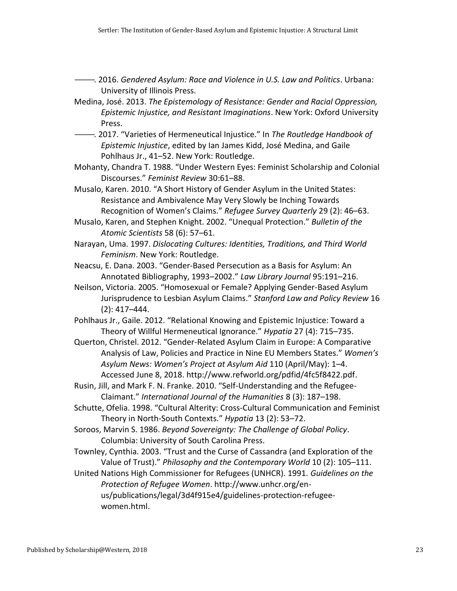- ———. 2016. *Gendered Asylum: Race and Violence in U.S. Law and Politics*. Urbana: University of Illinois Press.
- Medina, José. 2013. *The Epistemology of Resistance: Gender and Racial Oppression, Epistemic Injustice, and Resistant Imaginations*. New York: Oxford University Press.
- ———. 2017. "Varieties of Hermeneutical Injustice." In *The Routledge Handbook of Epistemic Injustice*, edited by Ian James Kidd, José Medina, and Gaile Pohlhaus Jr., 41–52. New York: Routledge.
- Mohanty, Chandra T. 1988. "Under Western Eyes: Feminist Scholarship and Colonial Discourses." *Feminist Review* 30:61–88.
- Musalo, Karen. 2010. "A Short History of Gender Asylum in the United States: Resistance and Ambivalence May Very Slowly be Inching Towards Recognition of Women's Claims." *Refugee Survey Quarterly* 29 (2): 46–63.
- Musalo, Karen, and Stephen Knight. 2002. "Unequal Protection." *Bulletin of the Atomic Scientists* 58 (6): 57–61.
- Narayan, Uma. 1997. *Dislocating Cultures: Identities, Traditions, and Third World Feminism*. New York: Routledge.
- Neacsu, E. Dana. 2003. "Gender-Based Persecution as a Basis for Asylum: An Annotated Bibliography, 1993–2002." *Law Library Journal* 95:191–216.
- Neilson, Victoria. 2005. "Homosexual or Female? Applying Gender-Based Asylum Jurisprudence to Lesbian Asylum Claims." *Stanford Law and Policy Review* 16 (2): 417–444.
- Pohlhaus Jr., Gaile. 2012. "Relational Knowing and Epistemic Injustice: Toward a Theory of Willful Hermeneutical Ignorance." *Hypatia* 27 (4): 715–735.
- Querton, Christel. 2012. "Gender-Related Asylum Claim in Europe: A Comparative Analysis of Law, Policies and Practice in Nine EU Members States." *Women's Asylum News: Women's Project at Asylum Aid* 110 (April/May): 1–4. Accessed June 8, 2018. [http://www.refworld.org/pdfid/4fc5f8422.pdf.](http://www.refworld.org/pdfid/4fc5f8422.pdf)
- Rusin, Jill, and Mark F. N. Franke. 2010. "Self-Understanding and the Refugee-Claimant." *International Journal of the Humanities* 8 (3): 187–198.
- Schutte, Ofelia. 1998. "Cultural Alterity: Cross-Cultural Communication and Feminist Theory in North-South Contexts." *Hypatia* 13 (2): 53–72.
- Soroos, Marvin S. 1986. *Beyond Sovereignty: The Challenge of Global Policy*. Columbia: University of South Carolina Press.
- Townley, Cynthia. 2003. "Trust and the Curse of Cassandra (and Exploration of the Value of Trust)." *Philosophy and the Contemporary World* 10 (2): 105–111.
- United Nations High Commissioner for Refugees (UNHCR). 1991. *Guidelines on the Protection of Refugee Women*. [http://www.unhcr.org/en](http://www.unhcr.org/en-us/publications/legal/3d4f915e4/guidelines-protection-refugee-women.html)[us/publications/legal/3d4f915e4/guidelines-protection-refugee](http://www.unhcr.org/en-us/publications/legal/3d4f915e4/guidelines-protection-refugee-women.html)[women.html.](http://www.unhcr.org/en-us/publications/legal/3d4f915e4/guidelines-protection-refugee-women.html)